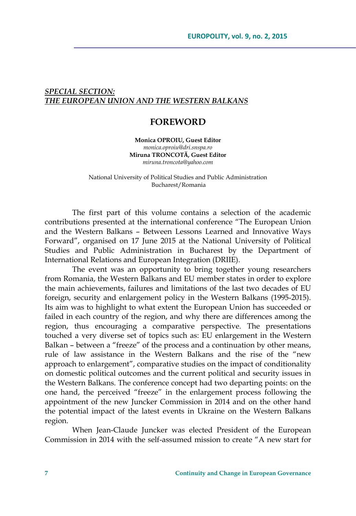## *SPECIAL SECTION: THE EUROPEAN UNION AND THE WESTERN BALKANS*

## **FOREWORD**

**Monica OPROIU, Guest Editor** *monica.oproiu@dri.snspa.ro*  **Miruna TRONCOTӐ, Guest Editor** *miruna.troncota@yahoo.com* 

National University of Political Studies and Public Administration Bucharest/Romania

The first part of this volume contains a selection of the academic contributions presented at the international conference "The European Union and the Western Balkans – Between Lessons Learned and Innovative Ways Forward", organised on 17 June 2015 at the National University of Political Studies and Public Administration in Bucharest by the Department of International Relations and European Integration (DRIIE).

The event was an opportunity to bring together young researchers from Romania, the Western Balkans and EU member states in order to explore the main achievements, failures and limitations of the last two decades of EU foreign, security and enlargement policy in the Western Balkans (1995-2015). Its aim was to highlight to what extent the European Union has succeeded or failed in each country of the region, and why there are differences among the region, thus encouraging a comparative perspective. The presentations touched a very diverse set of topics such as: EU enlargement in the Western Balkan – between a "freeze" of the process and a continuation by other means, rule of law assistance in the Western Balkans and the rise of the "new approach to enlargement", comparative studies on the impact of conditionality on domestic political outcomes and the current political and security issues in the Western Balkans. The conference concept had two departing points: on the one hand, the perceived "freeze" in the enlargement process following the appointment of the new Juncker Commission in 2014 and on the other hand the potential impact of the latest events in Ukraine on the Western Balkans region.

When Jean-Claude Juncker was elected President of the European Commission in 2014 with the self-assumed mission to create "A new start for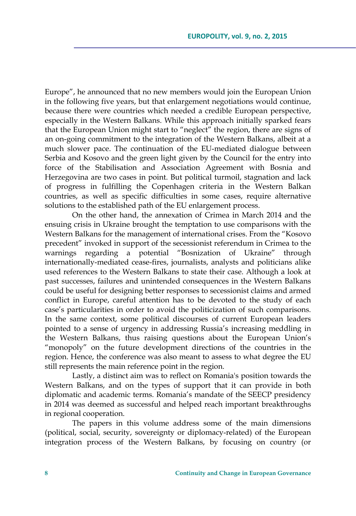Europe", he announced that no new members would join the European Union in the following five years, but that enlargement negotiations would continue, because there were countries which needed a credible European perspective, especially in the Western Balkans. While this approach initially sparked fears that the European Union might start to "neglect" the region, there are signs of an on-going commitment to the integration of the Western Balkans, albeit at a much slower pace. The continuation of the EU-mediated dialogue between Serbia and Kosovo and the green light given by the Council for the entry into force of the Stabilisation and Association Agreement with Bosnia and Herzegovina are two cases in point. But political turmoil, stagnation and lack of progress in fulfilling the Copenhagen criteria in the Western Balkan countries, as well as specific difficulties in some cases, require alternative solutions to the established path of the EU enlargement process.

On the other hand, the annexation of Crimea in March 2014 and the ensuing crisis in Ukraine brought the temptation to use comparisons with the Western Balkans for the management of international crises. From the "Kosovo precedent" invoked in support of the secessionist referendum in Crimea to the warnings regarding a potential "Bosnization of Ukraine" through internationally-mediated cease-fires, journalists, analysts and politicians alike used references to the Western Balkans to state their case. Although a look at past successes, failures and unintended consequences in the Western Balkans could be useful for designing better responses to secessionist claims and armed conflict in Europe, careful attention has to be devoted to the study of each case's particularities in order to avoid the politicization of such comparisons. In the same context, some political discourses of current European leaders pointed to a sense of urgency in addressing Russia's increasing meddling in the Western Balkans, thus raising questions about the European Union's "monopoly" on the future development directions of the countries in the region. Hence, the conference was also meant to assess to what degree the EU still represents the main reference point in the region.

Lastly, a distinct aim was to reflect on Romania's position towards the Western Balkans, and on the types of support that it can provide in both diplomatic and academic terms. Romania's mandate of the SEECP presidency in 2014 was deemed as successful and helped reach important breakthroughs in regional cooperation.

The papers in this volume address some of the main dimensions (political, social, security, sovereignty or diplomacy-related) of the European integration process of the Western Balkans, by focusing on country (or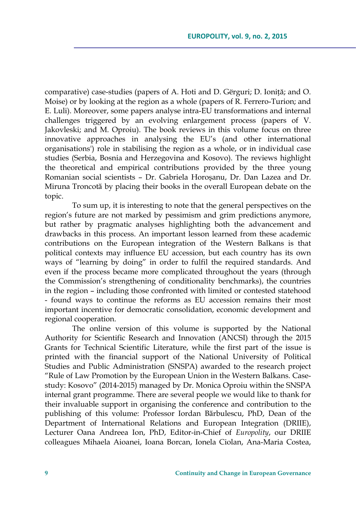comparative) case-studies (papers of A. Hoti and D. Gërguri; D. Ioniță; and O. Moise) or by looking at the region as a whole (papers of R. Ferrero-Turion; and E. Luli). Moreover, some papers analyse intra-EU transformations and internal challenges triggered by an evolving enlargement process (papers of V. Jakovleski; and M. Oproiu). The book reviews in this volume focus on three innovative approaches in analysing the EU's (and other international organisations') role in stabilising the region as a whole, or in individual case studies (Serbia, Bosnia and Herzegovina and Kosovo). The reviews highlight the theoretical and empirical contributions provided by the three young Romanian social scientists – Dr. Gabriela Horoşanu, Dr. Dan Lazea and Dr. Miruna Troncotă by placing their books in the overall European debate on the topic.

To sum up, it is interesting to note that the general perspectives on the region's future are not marked by pessimism and grim predictions anymore, but rather by pragmatic analyses highlighting both the advancement and drawbacks in this process. An important lesson learned from these academic contributions on the European integration of the Western Balkans is that political contexts may influence EU accession, but each country has its own ways of "learning by doing" in order to fulfil the required standards. And even if the process became more complicated throughout the years (through the Commission's strengthening of conditionality benchmarks), the countries in the region – including those confronted with limited or contested statehood - found ways to continue the reforms as EU accession remains their most important incentive for democratic consolidation, economic development and regional cooperation.

The online version of this volume is supported by the National Authority for Scientific Research and Innovation (ANCSI) through the 2015 Grants for Technical Scientific Literature, while the first part of the issue is printed with the financial support of the National University of Political Studies and Public Administration (SNSPA) awarded to the research project "Rule of Law Promotion by the European Union in the Western Balkans. Casestudy: Kosovo" (2014-2015) managed by Dr. Monica Oproiu within the SNSPA internal grant programme. There are several people we would like to thank for their invaluable support in organising the conference and contribution to the publishing of this volume: Professor Iordan Bӑrbulescu, PhD, Dean of the Department of International Relations and European Integration (DRIIE), Lecturer Oana Andreea Ion, PhD, Editor-in-Chief of *Europolity*, our DRIIE colleagues Mihaela Aioanei, Ioana Borcan, Ionela Ciolan, Ana-Maria Costea,